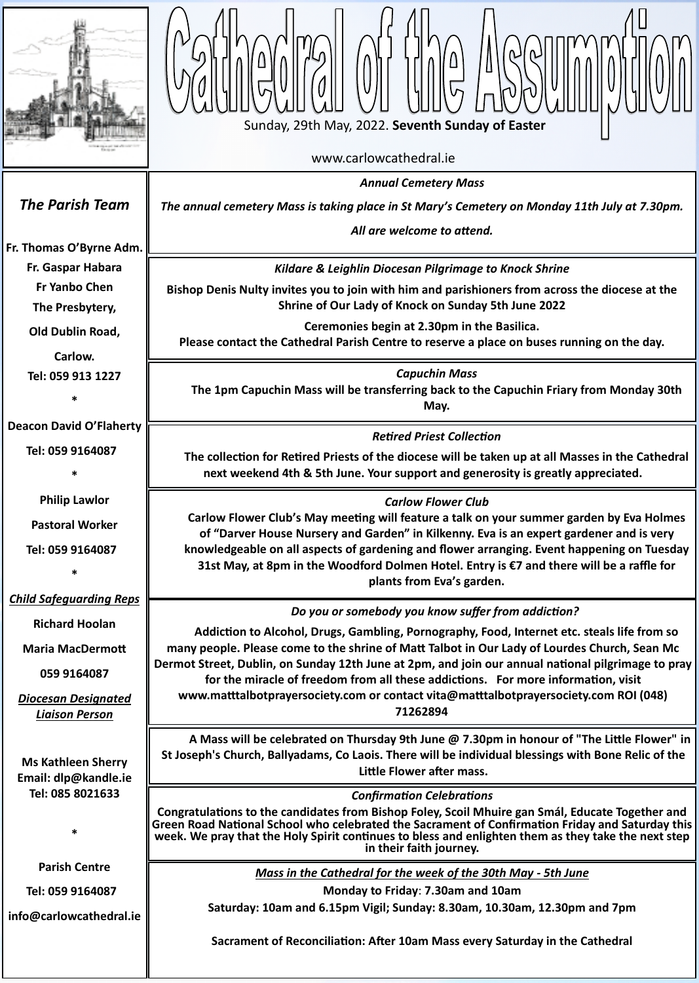

www.carlowcathedral.ie



*Diocesan Designated Liaison Person*

li<br>il<br>.a *Annual Cemetery Mass The annual cemetery Mass is taking place in St Mary's Cemetery on Monday 11th July at 7.30pm. All are welcome to attend. The Parish Team* **[Fr. Thomas O](http://www.carlowcathedral.ie/2017/09/fr-padraig-shelley-c-c/)'Byrne Adm. Fr. Gaspar Habara Fr Yanbo Chen The Presbytery, Old Dublin Road, Carlow. Tel: 059 913 1227 \* Deacon David O'Flaherty Tel: 059 9164087 \* Philip Lawlor Pastoral Worker Tel: 059 9164087 \*** *Child Safeguarding Reps* **Richard Hoolan Maria MacDermott 059 9164087** *Kildare & Leighlin Diocesan Pilgrimage to Knock Shrine* **Bishop Denis Nulty invites you to join with him and parishioners from across the diocese at the Shrine of Our Lady of Knock on Sunday 5th June 2022 Ceremonies begin at 2.30pm in the Basilica. Please contact the Cathedral Parish Centre to reserve a place on buses running on the day.** *Capuchin Mass* **The 1pm Capuchin Mass will be transferring back to the Capuchin Friary from Monday 30th May.** *Carlow Flower Club* **Carlow Flower Club's May meeting will feature a talk on your summer garden by Eva Holmes of "Darver House Nursery and Garden" in Kilkenny. Eva is an expert gardener and is very knowledgeable on all aspects of gardening and flower arranging. Event happening on Tuesday 31st May, at 8pm in the Woodford Dolmen Hotel. Entry is €7 and there will be a raffle for plants from Eva's garden.**  *Do you or somebody you know suffer from addiction?* **Addiction to Alcohol, Drugs, Gambling, Pornography, Food, Internet etc. steals life from so many people. Please come to the shrine of Matt Talbot in Our Lady of Lourdes Church, Sean Mc Dermot Street, Dublin, on Sunday 12th June at 2pm, and join our annual national pilgrimage to pray for the miracle of freedom from all these addictions. For more information, visit www.matttalbotprayersociety.com or contact vita@matttalbotprayersociety.com ROI (048)**  *Retired Priest Collection* **The collection for Retired Priests of the diocese will be taken up at all Masses in the Cathedral next weekend 4th & 5th June. Your support and generosity is greatly appreciated.**

| <b>Ms Kathleen Sherry</b><br>Email: dlp@kandle.ie<br>Tel: 085 8021633 | A Mass will be celebrated on Thursday 9th June @ 7.30pm in honour of "The Little Flower" in<br>St Joseph's Church, Ballyadams, Co Laois. There will be individual blessings with Bone Relic of the<br>Little Flower after mass.                                                                                                        |
|-----------------------------------------------------------------------|----------------------------------------------------------------------------------------------------------------------------------------------------------------------------------------------------------------------------------------------------------------------------------------------------------------------------------------|
|                                                                       | <b>Confirmation Celebrations</b>                                                                                                                                                                                                                                                                                                       |
| ∗                                                                     | Congratulations to the candidates from Bishop Foley, Scoil Mhuire gan Smál, Educate Together and<br>Green Road National School who celebrated the Sacrament of Confirmation Friday and Saturday this<br>week. We pray that the Holy Spirit continues to bless and enlighten them as they take the next step<br>in their faith journey. |
| <b>Parish Centre</b>                                                  | Mass in the Cathedral for the week of the 30th May - 5th June                                                                                                                                                                                                                                                                          |
| Tel: 059 9164087                                                      | Monday to Friday: 7.30am and 10am                                                                                                                                                                                                                                                                                                      |
| info@carlowcathedral.ie                                               | Saturday: 10am and 6.15pm Vigil; Sunday: 8.30am, 10.30am, 12.30pm and 7pm                                                                                                                                                                                                                                                              |
|                                                                       | Sacrament of Reconciliation: After 10am Mass every Saturday in the Cathedral                                                                                                                                                                                                                                                           |
|                                                                       |                                                                                                                                                                                                                                                                                                                                        |

**71262894**